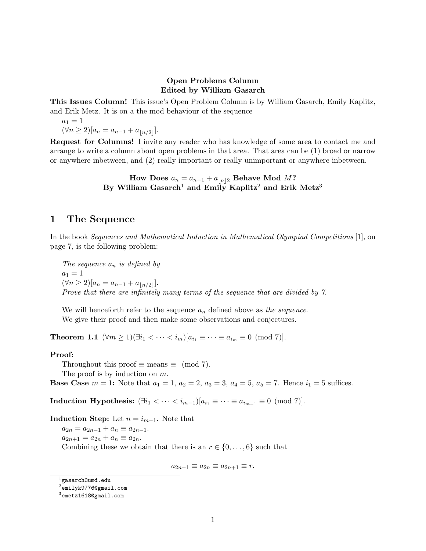### Open Problems Column Edited by William Gasarch

This Issues Column! This issue's Open Problem Column is by William Gasarch, Emily Kaplitz, and Erik Metz. It is on a the mod behaviour of the sequence

 $a_1 = 1$  $(\forall n \geq 2) [a_n = a_{n-1} + a_{n/2}].$ 

Request for Columns! I invite any reader who has knowledge of some area to contact me and arrange to write a column about open problems in that area. That area can be (1) broad or narrow or anywhere inbetween, and (2) really important or really unimportant or anywhere inbetween.

> How Does  $a_n = a_{n-1} + a_{n/2}$  Behave Mod M? By William Gasarch<sup>1</sup> and Emily Kaplitz<sup>2</sup> and Erik Metz<sup>3</sup>

## 1 The Sequence

In the book Sequences and Mathematical Induction in Mathematical Olympiad Competitions [1], on page 7, is the following problem:

The sequence  $a_n$  is defined by  $a_1 = 1$  $(\forall n \geq 2)[a_n = a_{n-1} + a_{\lfloor n/2 \rfloor}].$ Prove that there are infinitely many terms of the sequence that are divided by 7.

We will henceforth refer to the sequence  $a_n$  defined above as the sequence. We give their proof and then make some observations and conjectures.

**Theorem 1.1**  $(\forall m \ge 1)(\exists i_1 < \cdots < i_m)[a_{i_1} \equiv \cdots \equiv a_{i_m} \equiv 0 \pmod{7}]$ .

#### Proof:

Throughout this proof  $\equiv$  means  $\equiv$  (mod 7). The proof is by induction on m.

**Base Case**  $m = 1$ : Note that  $a_1 = 1$ ,  $a_2 = 2$ ,  $a_3 = 3$ ,  $a_4 = 5$ ,  $a_5 = 7$ . Hence  $i_1 = 5$  suffices.

Induction Hypothesis:  $(\exists i_1 < \cdots < i_{m-1}) [a_{i_1} \equiv \cdots \equiv a_{i_{m-1}} \equiv 0 \pmod{7}]$ .

Induction Step: Let  $n = i_{m-1}$ . Note that

 $a_{2n} = a_{2n-1} + a_n \equiv a_{2n-1}.$  $a_{2n+1} = a_{2n} + a_n \equiv a_{2n}.$ Combining these we obtain that there is an  $r \in \{0, \ldots, 6\}$  such that

$$
a_{2n-1} \equiv a_{2n} \equiv a_{2n+1} \equiv r.
$$

 $^{\rm 1}$ gasarch@umd.edu

 $^2$ emilyk $9776$ @gmail.com

 $^3$ emetz1618@gmail.com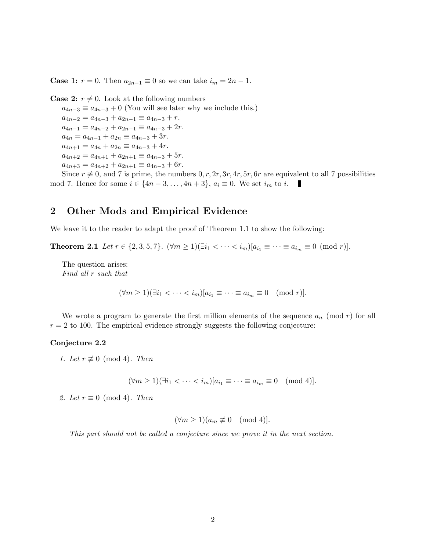**Case 1:**  $r = 0$ . Then  $a_{2n-1} \equiv 0$  so we can take  $i_m = 2n - 1$ .

**Case 2:**  $r \neq 0$ . Look at the following numbers

 $a_{4n-3} \equiv a_{4n-3} + 0$  (You will see later why we include this.)  $a_{4n-2} = a_{4n-3} + a_{2n-1} \equiv a_{4n-3} + r.$  $a_{4n-1} = a_{4n-2} + a_{2n-1} \equiv a_{4n-3} + 2r.$  $a_{4n} = a_{4n-1} + a_{2n} \equiv a_{4n-3} + 3r.$  $a_{4n+1} = a_{4n} + a_{2n} \equiv a_{4n-3} + 4r.$  $a_{4n+2} = a_{4n+1} + a_{2n+1} \equiv a_{4n-3} + 5r.$  $a_{4n+3} = a_{4n+2} + a_{2n+1} \equiv a_{4n-3} + 6r.$ 

Since  $r \neq 0$ , and 7 is prime, the numbers  $0, r, 2r, 3r, 4r, 5r, 6r$  are equivalent to all 7 possibilities mod 7. Hence for some  $i \in \{4n-3,\ldots,4n+3\}, a_i \equiv 0$ . We set  $i_m$  to i. П

## 2 Other Mods and Empirical Evidence

We leave it to the reader to adapt the proof of Theorem 1.1 to show the following:

Theorem 2.1 Let  $r \in \{2, 3, 5, 7\}$ .  $(\forall m \ge 1)(\exists i_1 < \cdots < i_m)[a_{i_1} \equiv \cdots \equiv a_{i_m} \equiv 0 \pmod{r}]$ .

The question arises: Find all r such that

 $(\forall m \ge 1)(\exists i_1 < \cdots < i_m)|a_{i_1} \equiv \cdots \equiv a_{i_m} \equiv 0 \pmod{r}$ .

We wrote a program to generate the first million elements of the sequence  $a_n \pmod{r}$  for all  $r = 2$  to 100. The empirical evidence strongly suggests the following conjecture:

#### Conjecture 2.2

1. Let  $r \not\equiv 0 \pmod{4}$ . Then

 $(\forall m \geq 1)(\exists i_1 < \cdots < i_m)[a_{i_1} \equiv \cdots \equiv a_{i_m} \equiv 0 \pmod{4}].$ 

2. Let  $r \equiv 0 \pmod{4}$ . Then

$$
(\forall m \ge 1)(a_m \not\equiv 0 \pmod{4}].
$$

This part should not be called a conjecture since we prove it in the next section.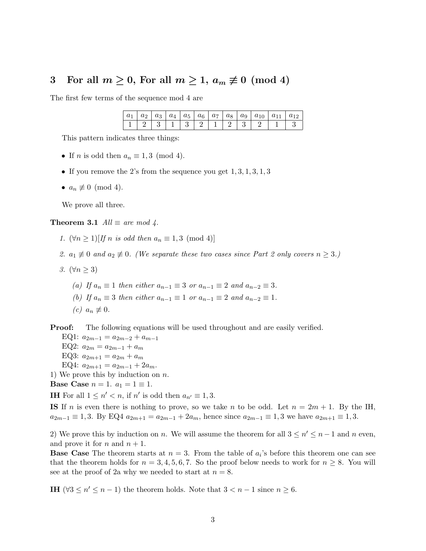## 3 For all  $m \geq 0$ , For all  $m \geq 1$ ,  $a_m \not\equiv 0 \pmod{4}$

The first few terms of the sequence mod 4 are

|  |  |  |  |  | $ a_1 a_2 a_3 a_4 a_5 a_6 a_7 a_8 a_9 a_{10} a_{11} a_{12}$                      |  |
|--|--|--|--|--|----------------------------------------------------------------------------------|--|
|  |  |  |  |  | $1 \mid 2 \mid 3 \mid 1 \mid 3 \mid 2 \mid 1 \mid 2 \mid 3 \mid 2 \mid 1 \mid 3$ |  |

This pattern indicates three things:

- If *n* is odd then  $a_n \equiv 1, 3 \pmod{4}$ .
- If you remove the 2's from the sequence you get  $1, 3, 1, 3, 1, 3$
- $a_n \not\equiv 0 \pmod{4}$ .

We prove all three.

Theorem 3.1  $All \equiv are \mod 4$ .

1.  $(\forall n \geq 1) [If n is odd then a_n \equiv 1, 3 \pmod{4}]$ 

2.  $a_1 \not\equiv 0$  and  $a_2 \not\equiv 0$ . (We separate these two cases since Part 2 only covers  $n \geq 3$ .)

- 3.  $(\forall n \geq 3)$ 
	- (a) If  $a_n \equiv 1$  then either  $a_{n-1} \equiv 3$  or  $a_{n-1} \equiv 2$  and  $a_{n-2} \equiv 3$ .
	- (b) If  $a_n \equiv 3$  then either  $a_{n-1} \equiv 1$  or  $a_{n-1} \equiv 2$  and  $a_{n-2} \equiv 1$ .
	- $(c) a_n \not\equiv 0.$

**Proof:** The following equations will be used throughout and are easily verified.

EQ1:  $a_{2m-1} = a_{2m-2} + a_{m-1}$ EQ2:  $a_{2m} = a_{2m-1} + a_m$ EQ3:  $a_{2m+1} = a_{2m} + a_m$ EQ4:  $a_{2m+1} = a_{2m-1} + 2a_m$ .

1) We prove this by induction on  $n$ .

Base Case  $n = 1$ .  $a_1 = 1 \equiv 1$ .

**IH** For all  $1 \leq n' < n$ , if n' is odd then  $a_{n'} \equiv 1, 3$ .

IS If n is even there is nothing to prove, so we take n to be odd. Let  $n = 2m + 1$ . By the IH,  $a_{2m-1} \equiv 1, 3$ . By EQ4  $a_{2m+1} = a_{2m-1} + 2a_m$ , hence since  $a_{2m-1} \equiv 1, 3$  we have  $a_{2m+1} \equiv 1, 3$ .

2) We prove this by induction on n. We will assume the theorem for all  $3 \leq n' \leq n-1$  and n even, and prove it for n and  $n + 1$ .

**Base Case** The theorem starts at  $n = 3$ . From the table of  $a_i$ 's before this theorem one can see that the theorem holds for  $n = 3, 4, 5, 6, 7$ . So the proof below needs to work for  $n \geq 8$ . You will see at the proof of 2a why we needed to start at  $n = 8$ .

**IH** ( $\forall 3 \leq n' \leq n-1$ ) the theorem holds. Note that  $3 < n-1$  since  $n \geq 6$ .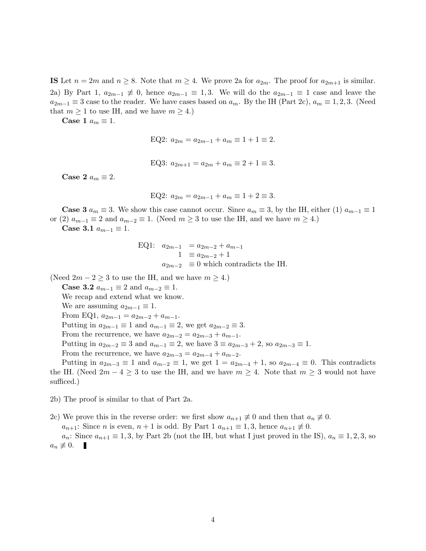**IS** Let  $n = 2m$  and  $n \ge 8$ . Note that  $m \ge 4$ . We prove 2a for  $a_{2m}$ . The proof for  $a_{2m+1}$  is similar. 2a) By Part 1,  $a_{2m-1} \not\equiv 0$ , hence  $a_{2m-1} \equiv 1,3$ . We will do the  $a_{2m-1} \equiv 1$  case and leave the  $a_{2m-1} \equiv 3$  case to the reader. We have cases based on  $a_m$ . By the IH (Part 2c),  $a_m \equiv 1, 2, 3$ . (Need that  $m \geq 1$  to use IH, and we have  $m \geq 4$ .)

Case 1  $a_m \equiv 1$ .

$$
EQ2: a_{2m} = a_{2m-1} + a_m \equiv 1 + 1 \equiv 2.
$$

EQ3:  $a_{2m+1} = a_{2m} + a_m \equiv 2 + 1 \equiv 3$ .

Case 2  $a_m \equiv 2$ .

$$
EQ2: a_{2m} = a_{2m-1} + a_m \equiv 1 + 2 \equiv 3.
$$

**Case 3**  $a_m \equiv 3$ . We show this case cannot occur. Since  $a_m \equiv 3$ , by the IH, either (1)  $a_{m-1} \equiv 1$ or (2)  $a_{m-1} \equiv 2$  and  $a_{m-2} \equiv 1$ . (Need  $m \geq 3$  to use the IH, and we have  $m \geq 4$ .) Case 3.1  $a_{m-1} \equiv 1$ .

EQ1: 
$$
a_{2m-1} = a_{2m-2} + a_{m-1}
$$
  
\n $1 \equiv a_{2m-2} + 1$   
\n $a_{2m-2} \equiv 0$  which contradicts the IH.

(Need  $2m - 2 \geq 3$  to use the IH, and we have  $m \geq 4$ .)

**Case 3.2**  $a_{m-1} \equiv 2$  and  $a_{m-2} \equiv 1$ .

We recap and extend what we know.

We are assuming  $a_{2m-1} \equiv 1$ .

From EQ1,  $a_{2m-1} = a_{2m-2} + a_{m-1}$ .

Putting in  $a_{2m-1} \equiv 1$  and  $a_{m-1} \equiv 2$ , we get  $a_{2m-2} \equiv 3$ .

From the recurrence, we have  $a_{2m-2} = a_{2m-3} + a_{m-1}$ .

Putting in  $a_{2m-2} \equiv 3$  and  $a_{m-1} \equiv 2$ , we have  $3 \equiv a_{2m-3} + 2$ , so  $a_{2m-3} \equiv 1$ .

From the recurrence, we have  $a_{2m-3} = a_{2m-4} + a_{m-2}$ .

Putting in  $a_{2m-3} \equiv 1$  and  $a_{m-2} \equiv 1$ , we get  $1 = a_{2m-4} + 1$ , so  $a_{2m-4} \equiv 0$ . This contradicts the IH. (Need  $2m-4\geq 3$  to use the IH, and we have  $m\geq 4$ . Note that  $m\geq 3$  would not have sufficed.)

2b) The proof is similar to that of Part 2a.

2c) We prove this in the reverse order: we first show  $a_{n+1} \neq 0$  and then that  $a_n \neq 0$ .

 $a_{n+1}$ : Since n is even,  $n+1$  is odd. By Part 1  $a_{n+1} \equiv 1,3$ , hence  $a_{n+1} \not\equiv 0$ .

 $a_n$ : Since  $a_{n+1} \equiv 1, 3$ , by Part 2b (not the IH, but what I just proved in the IS),  $a_n \equiv 1, 2, 3$ , so  $a_n \not\equiv 0.$ п